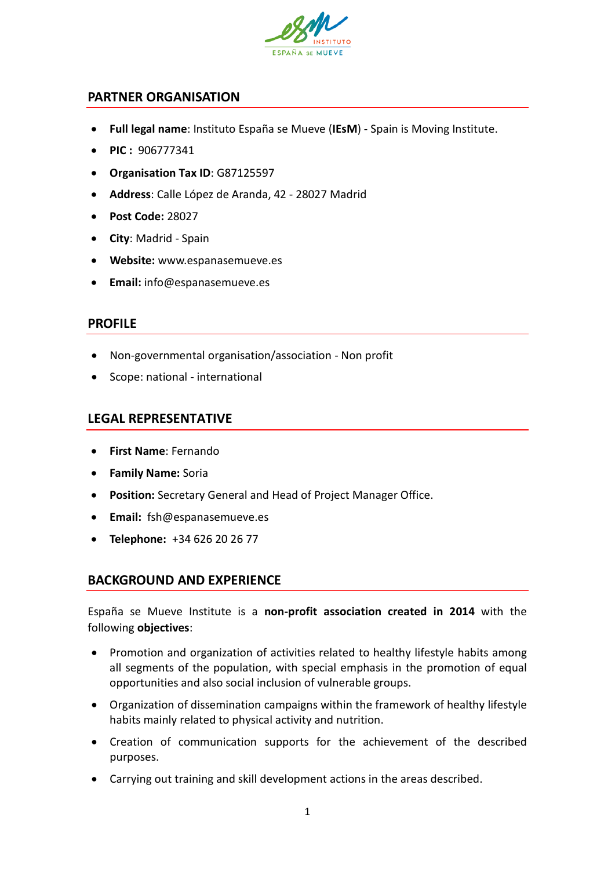

## **PARTNER ORGANISATION**

- **Full legal name**: Instituto España se Mueve (**IEsM**) Spain is Moving Institute.
- **PIC :** 906777341
- **Organisation Tax ID**: G87125597
- **Address**: Calle López de Aranda, 42 28027 Madrid
- **Post Code:** 28027
- **City**: Madrid Spain
- **Website:** www.espanasemueve.es
- **Email:** info@espanasemueve.es

## **PROFILE**

- Non-governmental organisation/association Non profit
- Scope: national international

## **LEGAL REPRESENTATIVE**

- **First Name**: Fernando
- **Family Name:** Soria
- **Position:** Secretary General and Head of Project Manager Office.
- **Email:** fsh@espanasemueve.es
- **Telephone:** +34 626 20 26 77

## **BACKGROUND AND EXPERIENCE**

España se Mueve Institute is a **non-profit association created in 2014** with the following **objectives**:

- Promotion and organization of activities related to healthy lifestyle habits among all segments of the population, with special emphasis in the promotion of equal opportunities and also social inclusion of vulnerable groups.
- Organization of dissemination campaigns within the framework of healthy lifestyle habits mainly related to physical activity and nutrition.
- Creation of communication supports for the achievement of the described purposes.
- Carrying out training and skill development actions in the areas described.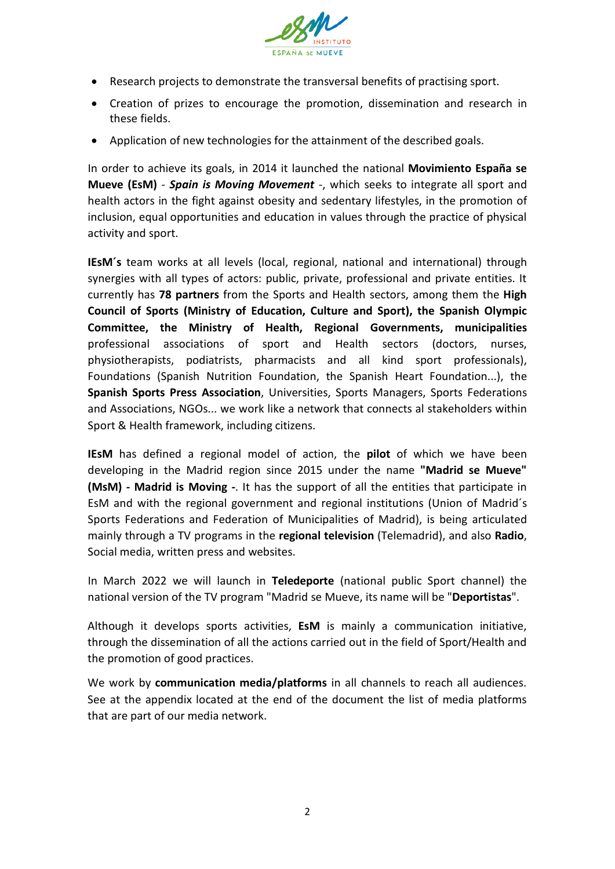

- Research projects to demonstrate the transversal benefits of practising sport.
- Creation of prizes to encourage the promotion, dissemination and research in these fields.
- Application of new technologies for the attainment of the described goals.

In order to achieve its goals, in 2014 it launched the national **Movimiento España se Mueve (EsM)** - *Spain is Moving Movement* -, which seeks to integrate all sport and health actors in the fight against obesity and sedentary lifestyles, in the promotion of inclusion, equal opportunities and education in values through the practice of physical activity and sport.

**IEsM´s** team works at all levels (local, regional, national and international) through synergies with all types of actors: public, private, professional and private entities. It currently has **78 partners** from the Sports and Health sectors, among them the **High Council of Sports (Ministry of Education, Culture and Sport), the Spanish Olympic Committee, the Ministry of Health, Regional Governments, municipalities** professional associations of sport and Health sectors (doctors, nurses, physiotherapists, podiatrists, pharmacists and all kind sport professionals), Foundations (Spanish Nutrition Foundation, the Spanish Heart Foundation...), the **Spanish Sports Press Association**, Universities, Sports Managers, Sports Federations and Associations, NGOs... we work like a network that connects al stakeholders within Sport & Health framework, including citizens.

**IEsM** has defined a regional model of action, the **pilot** of which we have been developing in the Madrid region since 2015 under the name **"Madrid se Mueve" (MsM) - Madrid is Moving -**. It has the support of all the entities that participate in EsM and with the regional government and regional institutions (Union of Madrid´s Sports Federations and Federation of Municipalities of Madrid), is being articulated mainly through a TV programs in the **regional television** (Telemadrid), and also **Radio**, Social media, written press and websites.

In March 2022 we will launch in **Teledeporte** (national public Sport channel) the national version of the TV program "Madrid se Mueve, its name will be "**Deportistas**".

Although it develops sports activities, **EsM** is mainly a communication initiative, through the dissemination of all the actions carried out in the field of Sport/Health and the promotion of good practices.

We work by **communication media/platforms** in all channels to reach all audiences. See at the appendix located at the end of the document the list of media platforms that are part of our media network.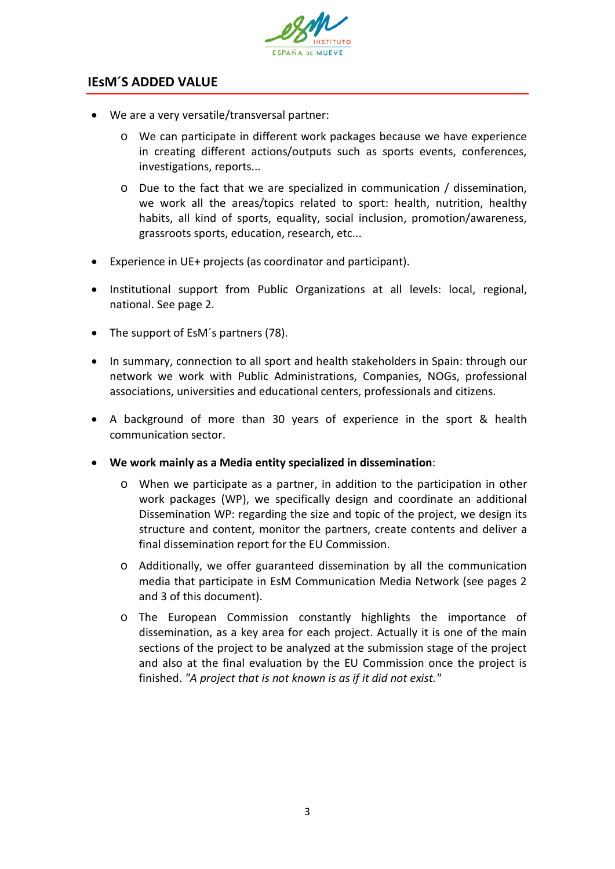

# **IEsM´S ADDED VALUE**

- We are a very versatile/transversal partner:
	- o We can participate in different work packages because we have experience in creating different actions/outputs such as sports events, conferences, investigations, reports...
	- o Due to the fact that we are specialized in communication / dissemination, we work all the areas/topics related to sport: health, nutrition, healthy habits, all kind of sports, equality, social inclusion, promotion/awareness, grassroots sports, education, research, etc...
- Experience in UE+ projects (as coordinator and participant).
- Institutional support from Public Organizations at all levels: local, regional, national. See page 2.
- The support of EsM´s partners (78).
- In summary, connection to all sport and health stakeholders in Spain: through our network we work with Public Administrations, Companies, NOGs, professional associations, universities and educational centers, professionals and citizens.
- A background of more than 30 years of experience in the sport & health communication sector.
- **We work mainly as a Media entity specialized in dissemination**:
	- o When we participate as a partner, in addition to the participation in other work packages (WP), we specifically design and coordinate an additional Dissemination WP: regarding the size and topic of the project, we design its structure and content, monitor the partners, create contents and deliver a final dissemination report for the EU Commission.
	- o Additionally, we offer guaranteed dissemination by all the communication media that participate in EsM Communication Media Network (see pages 2 and 3 of this document).
	- o The European Commission constantly highlights the importance of dissemination, as a key area for each project. Actually it is one of the main sections of the project to be analyzed at the submission stage of the project and also at the final evaluation by the EU Commission once the project is finished. *"A project that is not known is as if it did not exist."*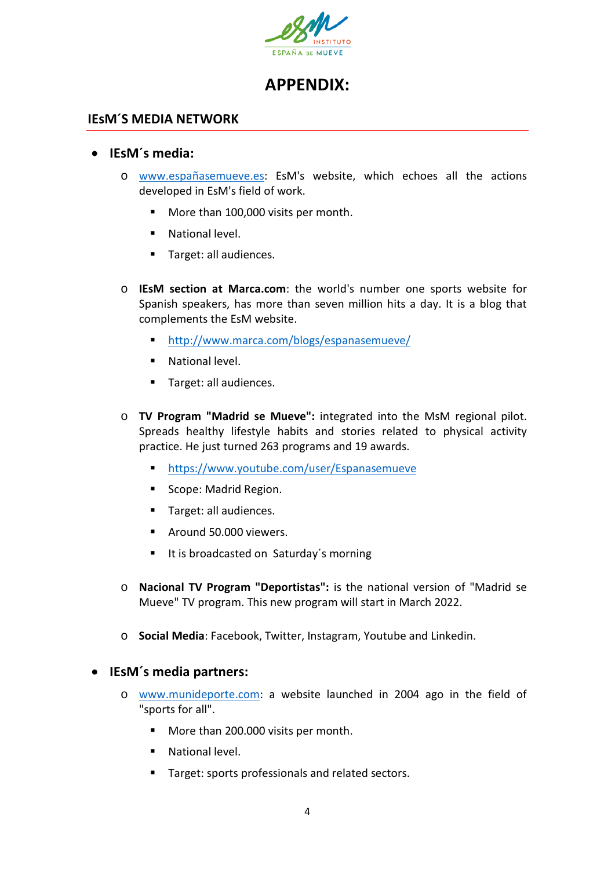

# **APPENDIX:**

## **IEsM´S MEDIA NETWORK**

## • **IEsM´s media:**

- o [www.españasemueve.es:](http://www.espanasemueve.es/) EsM's website, which echoes all the actions developed in EsM's field of work.
	- More than 100,000 visits per month.
	- **National level.**
	- **Target: all audiences.**
- o **IEsM section at Marca.com**: the world's number one sports website for Spanish speakers, has more than seven million hits a day. It is a blog that complements the EsM website.
	- <http://www.marca.com/blogs/espanasemueve/>
	- **National level.**
	- **Target: all audiences.**
- o **TV Program "Madrid se Mueve":** integrated into the MsM regional pilot. Spreads healthy lifestyle habits and stories related to physical activity practice. He just turned 263 programs and 19 awards.
	- <https://www.youtube.com/user/Espanasemueve>
	- Scope: Madrid Region.
	- **Target: all audiences.**
	- Around 50.000 viewers.
	- It is broadcasted on Saturday's morning
- o **Nacional TV Program "Deportistas":** is the national version of "Madrid se Mueve" TV program. This new program will start in March 2022.
- o **Social Media**: Facebook, Twitter, Instagram, Youtube and Linkedin.

• **IEsM´s media partners:**

- o [www.munideporte.com:](http://www.munideporte.com/) a website launched in 2004 ago in the field of "sports for all".
	- More than 200.000 visits per month.
	- **National level.**
	- **Target: sports professionals and related sectors.**